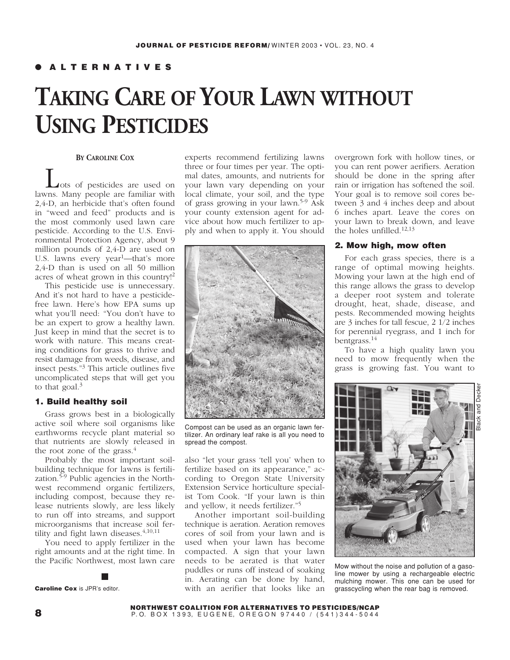# ● **ALTERNATIVES**

# **TAKING CARE OF YOUR LAWN WITHOUT USING PESTICIDES**

### **BY CAROLINE COX**

Lots of pesticides are used on lawns. Many people are familiar with 2,4-D, an herbicide that's often found in "weed and feed" products and is the most commonly used lawn care pesticide. According to the U.S. Environmental Protection Agency, about 9 million pounds of 2,4-D are used on U.S. lawns every year<sup>1</sup>—that's more 2,4-D than is used on all 50 million acres of wheat grown in this country!<sup>2</sup>

This pesticide use is unnecessary. And it's not hard to have a pesticidefree lawn. Here's how EPA sums up what you'll need: "You don't have to be an expert to grow a healthy lawn. Just keep in mind that the secret is to work with nature. This means creating conditions for grass to thrive and resist damage from weeds, disease, and insect pests."<sup>3</sup> This article outlines five uncomplicated steps that will get you to that goal. $3$ 

# **1. Build healthy soil**

Grass grows best in a biologically active soil where soil organisms like earthworms recycle plant material so that nutrients are slowly released in the root zone of the grass. $4$ 

Probably the most important soilbuilding technique for lawns is fertilization. $5-9$  Public agencies in the Northwest recommend organic fertilizers, including compost, because they release nutrients slowly, are less likely to run off into streams, and support microorganisms that increase soil fertility and fight lawn diseases.<sup>4,10,11</sup>

You need to apply fertilizer in the right amounts and at the right time. In the Pacific Northwest, most lawn care

**Caroline Cox** is JPR's editor.

experts recommend fertilizing lawns three or four times per year. The optimal dates, amounts, and nutrients for your lawn vary depending on your local climate, your soil, and the type of grass growing in your lawn.5-9 Ask your county extension agent for advice about how much fertilizer to apply and when to apply it. You should



Compost can be used as an organic lawn fertilizer. An ordinary leaf rake is all you need to spread the compost.

also "let your grass 'tell you' when to fertilize based on its appearance," according to Oregon State University Extension Service horticulture specialist Tom Cook. "If your lawn is thin and yellow, it needs fertilizer."<sup>5</sup>

Another important soil-building technique is aeration. Aeration removes cores of soil from your lawn and is used when your lawn has become compacted. A sign that your lawn needs to be aerated is that water puddles or runs off instead of soaking in. Aerating can be done by hand, with an aerifier that looks like an

overgrown fork with hollow tines, or you can rent power aerifiers. Aeration should be done in the spring after rain or irrigation has softened the soil. Your goal is to remove soil cores between 3 and 4 inches deep and about 6 inches apart. Leave the cores on your lawn to break down, and leave the holes unfilled.12,13

# **2. Mow high, mow often**

For each grass species, there is a range of optimal mowing heights. Mowing your lawn at the high end of this range allows the grass to develop a deeper root system and tolerate drought, heat, shade, disease, and pests. Recommended mowing heights are 3 inches for tall fescue, 2 1/2 inches for perennial ryegrass, and 1 inch for bentgrass.<sup>14</sup>

To have a high quality lawn you need to mow frequently when the grass is growing fast. You want to



Mow without the noise and pollution of a gasoline mower by using a rechargeable electric mulching mower. This one can be used for grasscycling when the rear bag is removed.